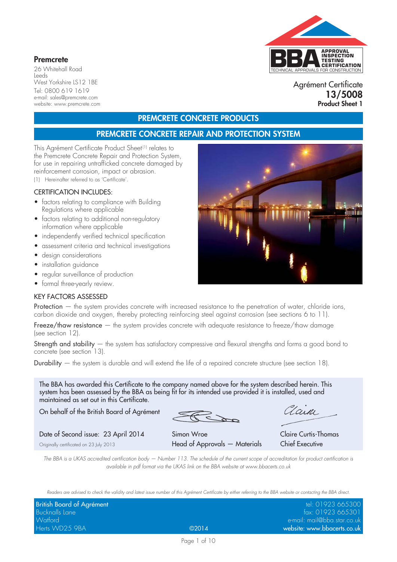# TECHNICAL APPROVALS FOR CONSTRUCTION **APPROVAL INSPECTION TESTING CERTIFICATION**

#### **Premcrete**

26 Whitehall Road Leeds West Yorkshire LS12 1BE Tel: 0800 619 1619 e-mail: sales@premcrete.com website: www.premcrete.com

Agrément Certificate **13/5008 Product Sheet 1**

# **PREMCRETE CONCRETE PRODUCTS**

# **PREMCRETE CONCRETE REPAIR AND PROTECTION SYSTEM**

This Agrément Certificate Product Sheet<sup>(1)</sup> relates to the Premcrete Concrete Repair and Protection System, for use in repairing untrafficked concrete damaged by reinforcement corrosion, impact or abrasion.

(1) Hereinafter referred to as 'Certificate'.

#### CERTIFICATION INCLUDES:

- factors relating to compliance with Building Regulations where applicable
- factors relating to additional non-regulatory information where applicable
- independently verified technical specification
- assessment criteria and technical investigations
- design considerations
- installation guidance
- regular surveillance of production
- formal three-yearly review.

#### KEY FACTORS ASSESSED

Protection — the system provides concrete with increased resistance to the penetration of water, chloride ions, carbon dioxide and oxygen, thereby protecting reinforcing steel against corrosion (see sections 6 to 11).

Freeze/thaw resistance – the system provides concrete with adequate resistance to freeze/thaw damage (see section 12).

Strength and stability – the system has satisfactory compressive and flexural strengths and forms a good bond to concrete (see section 13).

Durability  $-$  the system is durable and will extend the life of a repaired concrete structure (see section 18).

The BBA has awarded this Certificate to the company named above for the system described herein. This system has been assessed by the BBA as being fit for its intended use provided it is installed, used and maintained as set out in this Certificate.

On behalf of the British Board of Agrément

aan

Date of Second issue: 23 April 2014 Simon Wroe Claire Curtis-Thomas Originally certificated on 23 July 2013 Head of Approvals — Materials Chief Executive

*The BBA is a UKAS accredited certification body — Number 113. The schedule of the current scope of accreditation for product certification is available in pdf format via the UKAS link on the BBA website at www.bbacerts.co.uk*

*Readers are advised to check the validity and latest issue number of this Agrément Certificate by either referring to the BBA website or contacting the BBA direct.*

| British Board of Agrément |                 | tel: 01923 665300                                           |
|---------------------------|-----------------|-------------------------------------------------------------|
| Bucknalls Lane            |                 | fax: 01923 665301                                           |
| Watford                   |                 | $\epsilon$ -mail: mail@b $\epsilon$ a.star.co.uk $\epsilon$ |
| Herts WD25 9BA            | $\bigcirc$ 2014 | website: www.bbacerts.co.uk                                 |

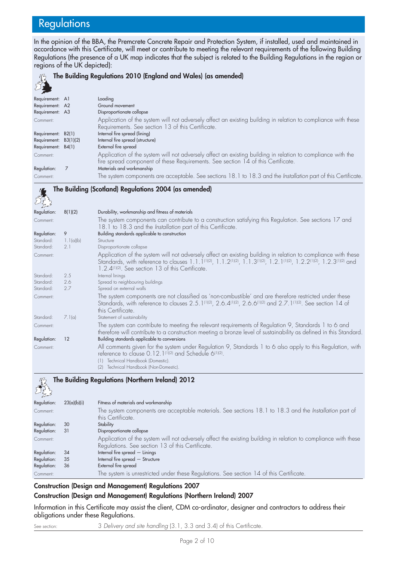# **Regulations**

In the opinion of the BBA, the Premcrete Concrete Repair and Protection System, if installed, used and maintained in accordance with this Certificate, will meet or contribute to meeting the relevant requirements of the following Building Regulations (the presence of a UK map indicates that the subject is related to the Building Regulations in the region or regions of the UK depicted):

#### **RAY The Building Regulations 2010 (England and Wales) (as amended)**

| 22                    |                                                                                                                                                                                                 |
|-----------------------|-------------------------------------------------------------------------------------------------------------------------------------------------------------------------------------------------|
| Requirement: A1       | Loading                                                                                                                                                                                         |
| Requirement: A2       | Ground movement                                                                                                                                                                                 |
| Requirement: A3       | Disproportionate collapse                                                                                                                                                                       |
| Comment:              | Application of the system will not adversely affect an existing building in relation to compliance with these<br>Requirements. See section 13 of this Certificate.                              |
| Requirement: B2(1)    | Internal fire spread (lining)                                                                                                                                                                   |
| Requirement: B3(1)(2) | Internal fire spread (structure)                                                                                                                                                                |
| Requirement: B4(1)    | External fire spread                                                                                                                                                                            |
| Comment:              | Application of the system will not adversely affect an existing building in relation to compliance with the<br>fire spread component of these Requirements. See section 14 of this Certificate. |
| Regulation:           | Materials and workmanship                                                                                                                                                                       |
| Comment:              | The system components are acceptable. See sections 18.1 to 18.3 and the Installation part of this Certificate.                                                                                  |



| 8(1)(2)   | Durability, workmanship and fitness of materials                                                                                                                                                                                                                                                                                                                                     |
|-----------|--------------------------------------------------------------------------------------------------------------------------------------------------------------------------------------------------------------------------------------------------------------------------------------------------------------------------------------------------------------------------------------|
|           | The system components can contribute to a construction satisfying this Regulation. See sections 17 and<br>18.1 to 18.3 and the Installation part of this Certificate.                                                                                                                                                                                                                |
| 9         | Building standards applicable to construction                                                                                                                                                                                                                                                                                                                                        |
| 1.1(a)(b) | Structure                                                                                                                                                                                                                                                                                                                                                                            |
| 2.1       | Disproportionate collapse                                                                                                                                                                                                                                                                                                                                                            |
|           | Application of the system will not adversely affect an existing building in relation to compliance with these<br>Standards, with reference to clauses 1.1.1 <sup>(1)(2)</sup> , 1.1.2 <sup>(1)(2)</sup> , 1.1.3 <sup>(1)(2)</sup> , 1.2.1 <sup>(1)(2)</sup> , 1.2.2 <sup>(1)(2)</sup> , 1.2.3 <sup>(1)(2)</sup> and<br>1.2.4 <sup>(1)(2)</sup> . See section 13 of this Certificate. |
| 2.5       | Internal linings                                                                                                                                                                                                                                                                                                                                                                     |
| 2.6       | Spread to neighbouring buildings                                                                                                                                                                                                                                                                                                                                                     |
| 2.7       | Spread on external walls                                                                                                                                                                                                                                                                                                                                                             |
|           | The system components are not classified as 'non-combustible' and are therefore restricted under these<br>Standards, with reference to clauses 2.5.1 <sup>(1)(2)</sup> , 2.6.4 <sup>(1)(2)</sup> , 2.6.6 <sup>(1)(2)</sup> and 2.7.1 <sup>(1)(2)</sup> . See section 14 of<br>this Certificate.                                                                                      |
| 7.1(a)    | Statement of sustainability                                                                                                                                                                                                                                                                                                                                                          |
|           | The system can contribute to meeting the relevant requirements of Regulation 9, Standards 1 to 6 and<br>therefore will contribute to a construction meeting a bronze level of sustainability as defined in this Standard.                                                                                                                                                            |
| 12        | Building standards applicable to conversions                                                                                                                                                                                                                                                                                                                                         |
|           | All comments given for the system under Regulation 9, Standards 1 to 6 also apply to this Regulation, with<br>reference to clause 0.12.1 <sup>(1)(2)</sup> and Schedule 6 <sup>(1)(2)</sup> .<br>Technical Handbook (Domestic).<br>(1)<br>Technical Handbook (Non-Domestic).                                                                                                         |
|           |                                                                                                                                                                                                                                                                                                                                                                                      |

### **The Building Regulations (Northern Ireland) 2012**

| 23(a)(b)(i) | Fitness of materials and workmanship                                                                                                                               |
|-------------|--------------------------------------------------------------------------------------------------------------------------------------------------------------------|
|             | The system components are acceptable materials. See sections 18.1 to 18.3 and the Installation part of<br>this Certificate.                                        |
| 30          | Stability                                                                                                                                                          |
| -31         | Disproportionate collapse                                                                                                                                          |
|             | Application of the system will not adversely affect the existing building in relation to compliance with these<br>Regulations. See section 13 of this Certificate. |
| 34          | Internal fire spread $-$ Linings                                                                                                                                   |
| 35          | Internal fire spread - Structure                                                                                                                                   |
| 36          | External fire spread                                                                                                                                               |
|             | The system is unrestricted under these Regulations. See section 14 of this Certificate.                                                                            |
|             |                                                                                                                                                                    |

#### **Construction (Design and Management) Regulations 2007**

#### **Construction (Design and Management) Regulations (Northern Ireland) 2007**

Information in this Certificate may assist the client, CDM co-ordinator, designer and contractors to address their obligations under these Regulations.

See section: 3 *Delivery and site handling* (3.1, 3.3 and 3.4) of this Certificate.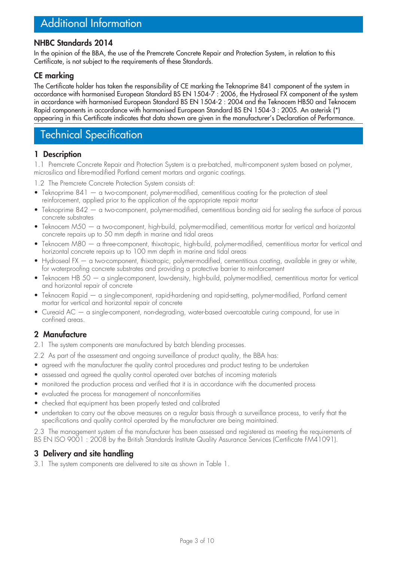# Additional Information

## **NHBC Standards 2014**

In the opinion of the BBA, the use of the Premcrete Concrete Repair and Protection System, in relation to this Certificate, is not subject to the requirements of these Standards.

## **CE marking**

The Certificate holder has taken the responsibility of CE marking the Teknoprime 841 component of the system in accordance with harmonised European Standard BS EN 1504-7 : 2006, the Hydroseal FX component of the system in accordance with harmonised European Standard BS EN 1504-2 : 2004 and the Teknocem HB50 and Teknocem Rapid components in accordance with harmonised European Standard BS EN 1504-3 : 2005. An asterisk (\*) appearing in this Certificate indicates that data shown are given in the manufacturer's Declaration of Performance.

# Technical Specification

#### **1 Description**

1.1 Premcrete Concrete Repair and Protection System is a pre-batched, multi-component system based on polymer, microsilica and fibre-modified Portland cement mortars and organic coatings.

1.2 The Premcrete Concrete Protection System consists of:

- Teknoprime 841 a two-component, polymer-modified, cementitious coating for the protection of steel reinforcement, applied prior to the application of the appropriate repair mortar
- Teknoprime 842 a two-component, polymer-modified, cementitious bonding aid for sealing the surface of porous concrete substrates
- Teknocem M50 a two-component, high-build, polymer-modified, cementitious mortar for vertical and horizontal concrete repairs up to 50 mm depth in marine and tidal areas
- Teknocem M80 a three-component, thixotropic, high-build, polymer-modified, cementitious mortar for vertical and horizontal concrete repairs up to 100 mm depth in marine and tidal areas
- Hydroseal FX a two-component, thixotropic, polymer-modified, cementitious coating, available in grey or white, for waterproofing concrete substrates and providing a protective barrier to reinforcement
- Teknocem HB 50 a single-component, low-density, high-build, polymer-modified, cementitious mortar for vertical and horizontal repair of concrete
- Teknocem Rapid a single-component, rapid-hardening and rapid-setting, polymer-modified, Portland cement mortar for vertical and horizontal repair of concrete
- Cureaid AC a single-component, non-degrading, water-based overcoatable curing compound, for use in confined areas.

## **2 Manufacture**

- 2.1 The system components are manufactured by batch blending processes.
- 2.2 As part of the assessment and ongoing surveillance of product quality, the BBA has:
- agreed with the manufacturer the quality control procedures and product testing to be undertaken
- assessed and agreed the quality control operated over batches of incoming materials
- monitored the production process and verified that it is in accordance with the documented process
- evaluated the process for management of nonconformities
- checked that equipment has been properly tested and calibrated
- undertaken to carry out the above measures on a regular basis through a surveillance process, to verify that the specifications and quality control operated by the manufacturer are being maintained.

2.3 The management system of the manufacturer has been assessed and registered as meeting the requirements of BS EN ISO 9001 : 2008 by the British Standards Institute Quality Assurance Services (Certificate FM41091).

## **3 Delivery and site handling**

3.1 The system components are delivered to site as shown in Table 1.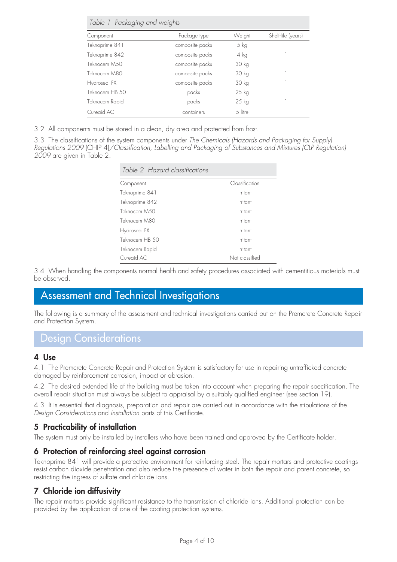*Table 1 Packaging and weights*

| Component      | Package type    | Weight  | Shelf-life (years) |
|----------------|-----------------|---------|--------------------|
| Teknoprime 841 | composite packs | 5 kg    |                    |
| Teknoprime 842 | composite packs | 4 kg    |                    |
| Teknocem M50   | composite packs | 30 kg   |                    |
| Teknocem M80   | composite packs | 30 kg   |                    |
| Hydroseal FX   | composite packs | 30 kg   |                    |
| Teknocem HB 50 | packs           | 25 kg   |                    |
| Teknocem Rapid | packs           | 25 kg   |                    |
| Cureaid AC     | containers      | 5 litre |                    |

3.2 All components must be stored in a clean, dry area and protected from frost.

3.3 The classifications of the system components under *The Chemicals (Hazards and Packaging for Supply) Regulations 2009* (CHIP 4)*/Classification, Labelling and Packaging of Substances and Mixtures (CLP Regulation) 2009* are given in Table 2.

|  |  | Table 2 Hazard classifications |  |
|--|--|--------------------------------|--|
|--|--|--------------------------------|--|

| Component      | Classification |
|----------------|----------------|
| Teknoprime 841 | Irritant       |
| Teknoprime 842 | Irritant       |
| Teknocem M50   | Irritant       |
| Teknocem M80   | Irritant       |
| Hydroseal FX   | Irritant       |
| Teknocem HB 50 | Irritant       |
| Teknocem Rapid | Irritant       |
| Cureaid AC     | Not classified |

3.4 When handling the components normal health and safety procedures associated with cementitious materials must be observed.

# Assessment and Technical Investigations

The following is a summary of the assessment and technical investigations carried out on the Premcrete Concrete Repair and Protection System.

## Design Considerations

#### **4 Use**

4.1 The Premcrete Concrete Repair and Protection System is satisfactory for use in repairing untrafficked concrete damaged by reinforcement corrosion, impact or abrasion.

4.2 The desired extended life of the building must be taken into account when preparing the repair specification. The overall repair situation must always be subject to appraisal by a suitably qualified engineer (see section 19).

4.3 It is essential that diagnosis, preparation and repair are carried out in accordance with the stipulations of the *Design Considerations* and *Installation* parts of this Certificate.

### **5 Practicability of installation**

The system must only be installed by installers who have been trained and approved by the Certificate holder.

### **6 Protection of reinforcing steel against corrosion**

Teknoprime 841 will provide a protective environment for reinforcing steel. The repair mortars and protective coatings resist carbon dioxide penetration and also reduce the presence of water in both the repair and parent concrete, so restricting the ingress of sulfate and chloride ions.

### **7 Chloride ion diffusivity**

The repair mortars provide significant resistance to the transmission of chloride ions. Additional protection can be provided by the application of one of the coating protection systems.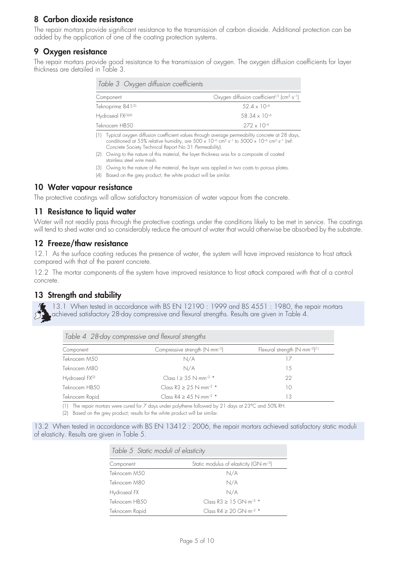## **8 Carbon dioxide resistance**

The repair mortars provide significant resistance to the transmission of carbon dioxide. Additional protection can be added by the application of one of the coating protection systems.

### **9 Oxygen resistance**

The repair mortars provide good resistance to the transmission of oxygen. The oxygen diffusion coefficients for layer thickness are detailed in Table 3.

| Table 3 Oxygen diffusion coefficients |                                                                                 |
|---------------------------------------|---------------------------------------------------------------------------------|
| Component                             | Oxygen diffusion coefficient <sup>(1)</sup> (cm <sup>2</sup> ·s <sup>-1</sup> ) |
| Teknoprime 841(2)                     | $.524 \times 10^{-6}$                                                           |
| Hydroseal FX(3)(4)                    | $.58.34 \times 10^{-6}$                                                         |
| Teknocem HB50                         | $272 \times 10^{-6}$                                                            |
|                                       |                                                                                 |

(1) Typical oxygen diffusion coefficient values through average permeability concrete at 28 days, conditioned at 55% relative humidity, are 500 x 10<sup>-6</sup> cm<sup>2</sup>·s<sup>-1</sup> to 5000 x 10<sup>-6</sup> cm<sup>2</sup>·s<sup>-1</sup> (ref: Concrete Society Technical Report No 31 *Permeability*).

- (2) Owing to the nature of this material, the layer thickness was for a composite of coated stainless steel wire mesh.
- (3) Owing to the nature of the material, the layer was applied in two coats to porous plates.
- (4) Based on the grey product; the white product will be similar.

#### **10 Water vapour resistance**

The protective coatings will allow satisfactory transmission of water vapour from the concrete.

### **11 Resistance to liquid water**

Water will not readily pass through the protective coatings under the conditions likely to be met in service. The coatings will tend to shed water and so considerably reduce the amount of water that would otherwise be absorbed by the substrate.

#### **12 Freeze/thaw resistance**

12.1 As the surface coating reduces the presence of water, the system will have improved resistance to frost attack compared with that of the parent concrete.

12.2 The mortar components of the system have improved resistance to frost attack compared with that of a control concrete.

### **13 Strength and stability**

13.1 When tested in accordance with BS EN 12190 : 1999 and BS 4551 : 1980, the repair mortars achieved satisfactory 28-day compressive and flexural strengths. Results are given in Table 4.

| Table 4 28-day compressive and flexural strengths |                                               |                                            |  |  |
|---------------------------------------------------|-----------------------------------------------|--------------------------------------------|--|--|
| Component                                         | Compressive strength $(N \cdot mm^{-2})$      | Flexural strength $(N\cdot mm^{-2})^{(1)}$ |  |  |
| Teknocem M50                                      | N/A                                           | 17                                         |  |  |
| Teknocem M80                                      | N/A                                           | 1.5                                        |  |  |
| Hydroseal FX(2)                                   | Class $1 > 3.5$ N·mm <sup>-2 *</sup>          | 22                                         |  |  |
| Teknocem HB50                                     | Class $R3 \ge 25$ N·mm <sup>-2 *</sup>        | 10                                         |  |  |
| Teknocem Rapid                                    | Class $R4 > 4.5$ N $\cdot$ mm <sup>-2 *</sup> | 13                                         |  |  |

(1) The repair mortars were cured for 7 days under polythene followed by 21 days at 23°C and 50% RH.

(2) Based on the grey product; results for the white product will be similar.

13.2 When tested in accordance with BS EN 13412 : 2006, the repair mortars achieved satisfactory static moduli of elasticity. Results are given in Table 5.

| Table 5 Static moduli of elasticity |                                                  |  |  |
|-------------------------------------|--------------------------------------------------|--|--|
| Component                           | Static modulus of elasticity $(GN \cdot m^{-2})$ |  |  |
| Teknocem M50                        | N/A                                              |  |  |
| Teknocem M80                        | N/A                                              |  |  |
| Hydroseal FX                        | N/A                                              |  |  |
| Teknocem HB50                       | Class $R3 > 1.5$ GN $\cdot$ m <sup>-2 *</sup>    |  |  |
| Teknocem Rapid                      | Class $R4 \ge 20$ GN $\cdot$ m <sup>-2</sup> *   |  |  |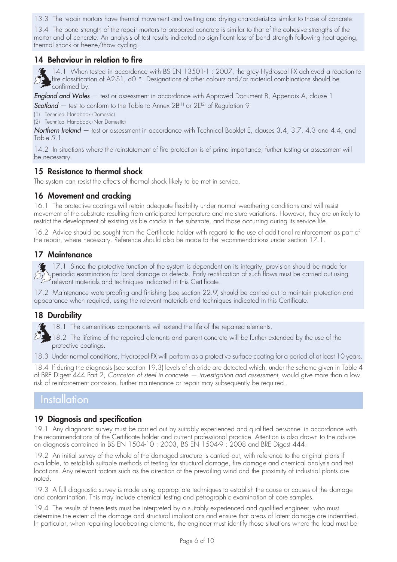13.3 The repair mortars have thermal movement and wetting and drying characteristics similar to those of concrete.

13.4 The bond strength of the repair mortars to prepared concrete is similar to that of the cohesive strengths of the mortar and of concrete. An analysis of test results indicated no significant loss of bond strength following heat ageing, thermal shock or freeze/thaw cycling.

#### **14 Behaviour in relation to fire**

14.1 When tested in accordance with BS EN 13501-1 : 2007, the grey Hydroseal FX achieved a reaction to  $\Sigma$ fire classification of A2-S1, d0 \*. Designations of other colours and/or material combinations should be confirmed by:

*England and Wales* — test or assessment in accordance with Approved Document B, Appendix A, clause 1

**Scotland** – test to conform to the Table to Annex 2B<sup>(1)</sup> or 2E<sup>(2)</sup> of Regulation 9

(1) Technical Handbook (Domestic)

(2) Technical Handbook (Non-Domestic)

*Northern Ireland* — test or assessment in accordance with Technical Booklet E, clauses 3.4, 3.7, 4.3 and 4.4, and Table 5.1.

14.2 In situations where the reinstatement of fire protection is of prime importance, further testing or assessment will be necessary.

## **15 Resistance to thermal shock**

The system can resist the effects of thermal shock likely to be met in service.

### **16 Movement and cracking**

16.1 The protective coatings will retain adequate flexibility under normal weathering conditions and will resist movement of the substrate resulting from anticipated temperature and moisture variations. However, they are unlikely to restrict the development of existing visible cracks in the substrate, and those occurring during its service life.

16.2 Advice should be sought from the Certificate holder with regard to the use of additional reinforcement as part of the repair, where necessary. Reference should also be made to the recommendations under section 17.1.

#### **17 Maintenance**

17.1 Since the protective function of the system is dependent on its integrity, provision should be made for periodic examination for local damage or defects. Early rectification of such flaws must be carried out using relevant materials and techniques indicated in this Certificate.

17.2 Maintenance waterproofing and finishing (see section 22.9) should be carried out to maintain protection and appearance when required, using the relevant materials and techniques indicated in this Certificate.

### **18 Durability**

18.1 The cementitious components will extend the life of the repaired elements.

18.2 The lifetime of the repaired elements and parent concrete will be further extended by the use of the protective coatings.

18.3 Under normal conditions, Hydroseal FX will perform as a protective surface coating for a period of at least 10 years.

18.4 If during the diagnosis (see section 19.3) levels of chloride are detected which, under the scheme given in Table 4 of BRE Digest 444 Part 2, *Corrosion of steel in concrete — investigation and assessment*, would give more than a low risk of reinforcement corrosion, further maintenance or repair may subsequently be required.

# **Installation**

### **19 Diagnosis and specification**

19.1 Any diagnostic survey must be carried out by suitably experienced and qualified personnel in accordance with the recommendations of the Certificate holder and current professional practice. Attention is also drawn to the advice on diagnosis contained in BS EN 1504-10 : 2003, BS EN 1504-9 : 2008 and BRE Digest 444.

19.2 An initial survey of the whole of the damaged structure is carried out, with reference to the original plans if available, to establish suitable methods of testing for structural damage, fire damage and chemical analysis and test locations. Any relevant factors such as the direction of the prevailing wind and the proximity of industrial plants are noted.

19.3 A full diagnostic survey is made using appropriate techniques to establish the cause or causes of the damage and contamination. This may include chemical testing and petrographic examination of core samples.

19.4 The results of these tests must be interpreted by a suitably experienced and qualified engineer, who must determine the extent of the damage and structural implications and ensure that areas of latent damage are indentified. In particular, when repairing loadbearing elements, the engineer must identify those situations where the load must be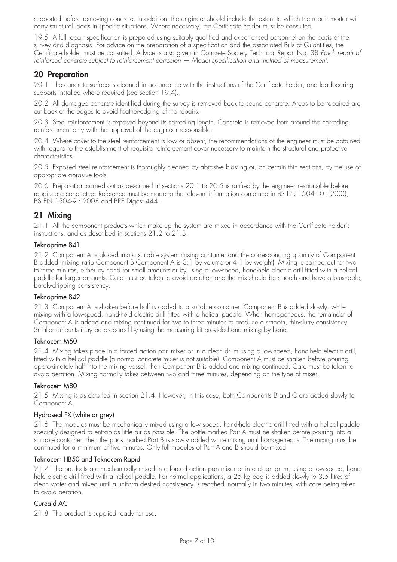supported before removing concrete. In addition, the engineer should include the extent to which the repair mortar will carry structural loads in specific situations. Where necessary, the Certificate holder must be consulted.

19.5 A full repair specification is prepared using suitably qualified and experienced personnel on the basis of the survey and diagnosis. For advice on the preparation of a specification and the associated Bills of Quantities, the Certificate holder must be consulted. Advice is also given in Concrete Society Technical Report No. 38 *Patch repair of reinforced concrete subject to reinforcement corrosion — Model specification and method of measurement*.

### **20 Preparation**

20.1 The concrete surface is cleaned in accordance with the instructions of the Certificate holder, and loadbearing supports installed where required (see section 19.4).

20.2 All damaged concrete identified during the survey is removed back to sound concrete. Areas to be repaired are cut back at the edges to avoid feather-edging of the repairs.

20.3 Steel reinforcement is exposed beyond its corroding length. Concrete is removed from around the corroding reinforcement only with the approval of the engineer responsible.

20.4 Where cover to the steel reinforcement is low or absent, the recommendations of the engineer must be obtained with regard to the establishment of requisite reinforcement cover necessary to maintain the structural and protective characteristics.

20.5 Exposed steel reinforcement is thoroughly cleaned by abrasive blasting or, on certain thin sections, by the use of appropriate abrasive tools.

20.6 Preparation carried out as described in sections 20.1 to 20.5 is ratified by the engineer responsible before repairs are conducted. Reference must be made to the relevant information contained in BS EN 1504-10 : 2003, BS EN 1504-9 : 2008 and BRE Digest 444.

## **21 Mixing**

21.1 All the component products which make up the system are mixed in accordance with the Certificate holder's instructions, and as described in sections 21.2 to 21.8.

#### Teknoprime 841

21.2 Component A is placed into a suitable system mixing container and the corresponding quantity of Component B added (mixing ratio Component B:Component A is 3:1 by volume or 4:1 by weight). Mixing is carried out for two to three minutes, either by hand for small amounts or by using a low-speed, hand-held electric drill fitted with a helical paddle for larger amounts. Care must be taken to avoid aeration and the mix should be smooth and have a brushable, barely-dripping consistency.

#### Teknoprime 842

21.3 Component A is shaken before half is added to a suitable container. Component B is added slowly, while mixing with a low-speed, hand-held electric drill fitted with a helical paddle. When homogeneous, the remainder of Component A is added and mixing continued for two to three minutes to produce a smooth, thin-slurry consistency. Smaller amounts may be prepared by using the measuring kit provided and mixing by hand.

#### Teknocem M50

21.4 Mixing takes place in a forced action pan mixer or in a clean drum using a low-speed, hand-held electric drill, fitted with a helical paddle (a normal concrete mixer is not suitable). Component A must be shaken before pouring approximately half into the mixing vessel, then Component B is added and mixing continued. Care must be taken to avoid aeration. Mixing normally takes between two and three minutes, depending on the type of mixer.

#### Teknocem M80

21.5 Mixing is as detailed in section 21.4. However, in this case, both Components B and C are added slowly to Component A.

#### Hydroseal FX (white or grey)

21.6 The modules must be mechanically mixed using a low speed, hand-held electric drill fitted with a helical paddle specially designed to entrap as little air as possible. The bottle marked Part A must be shaken before pouring into a suitable container, then the pack marked Part B is slowly added while mixing until homogeneous. The mixing must be continued for a minimum of five minutes. Only full modules of Part A and B should be mixed.

#### Teknocem HB50 and Teknocem Rapid

21.7 The products are mechanically mixed in a forced action pan mixer or in a clean drum, using a low-speed, handheld electric drill fitted with a helical paddle. For normal applications, a 25 kg bag is added slowly to 3.5 litres of clean water and mixed until a uniform desired consistency is reached (normally in two minutes) with care being taken to avoid aeration.

#### Cureaid AC

21.8 The product is supplied ready for use.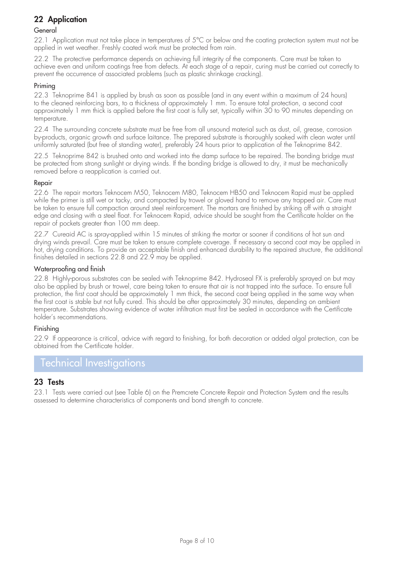# **22 Application**

#### **General**

22.1 Application must not take place in temperatures of 5°C or below and the coating protection system must not be applied in wet weather. Freshly coated work must be protected from rain.

22.2 The protective performance depends on achieving full integrity of the components. Care must be taken to achieve even and uniform coatings free from defects. At each stage of a repair, curing must be carried out correctly to prevent the occurrence of associated problems (such as plastic shrinkage cracking).

#### Priming

22.3 Teknoprime 841 is applied by brush as soon as possible (and in any event within a maximum of 24 hours) to the cleaned reinforcing bars, to a thickness of approximately 1 mm. To ensure total protection, a second coat approximately 1 mm thick is applied before the first coat is fully set, typically within 30 to 90 minutes depending on temperature.

22.4 The surrounding concrete substrate must be free from all unsound material such as dust, oil, grease, corrosion by-products, organic growth and surface laitance. The prepared substrate is thoroughly soaked with clean water until uniformly saturated (but free of standing water), preferably 24 hours prior to application of the Teknoprime 842.

22.5 Teknoprime 842 is brushed onto and worked into the damp surface to be repaired. The bonding bridge must be protected from strong sunlight or drying winds. If the bonding bridge is allowed to dry, it must be mechanically removed before a reapplication is carried out.

#### Repair

22.6 The repair mortars Teknocem M50, Teknocem M80, Teknocem HB50 and Teknocem Rapid must be applied while the primer is still wet or tacky, and compacted by trowel or gloved hand to remove any trapped air. Care must be taken to ensure full compaction around steel reinforcement. The mortars are finished by striking off with a straight edge and closing with a steel float. For Teknocem Rapid, advice should be sought from the Certificate holder on the repair of pockets greater than 100 mm deep.

22.7 Cureaid AC is spray-applied within 15 minutes of striking the mortar or sooner if conditions of hot sun and drying winds prevail. Care must be taken to ensure complete coverage. If necessary a second coat may be applied in hot, drying conditions. To provide an acceptable finish and enhanced durability to the repaired structure, the additional finishes detailed in sections 22.8 and 22.9 may be applied.

#### Waterproofing and finish

22.8 Highly-porous substrates can be sealed with Teknoprime 842. Hydroseal FX is preferably sprayed on but may also be applied by brush or trowel, care being taken to ensure that air is not trapped into the surface. To ensure full protection, the first coat should be approximately 1 mm thick, the second coat being applied in the same way when the first coat is stable but not fully cured. This should be after approximately 30 minutes, depending on ambient temperature. Substrates showing evidence of water infiltration must first be sealed in accordance with the Certificate holder's recommendations.

#### Finishing

22.9 If appearance is critical, advice with regard to finishing, for both decoration or added algal protection, can be obtained from the Certificate holder.

# Technical Investigations

#### **23 Tests**

23.1 Tests were carried out (see Table 6) on the Premcrete Concrete Repair and Protection System and the results assessed to determine characteristics of components and bond strength to concrete.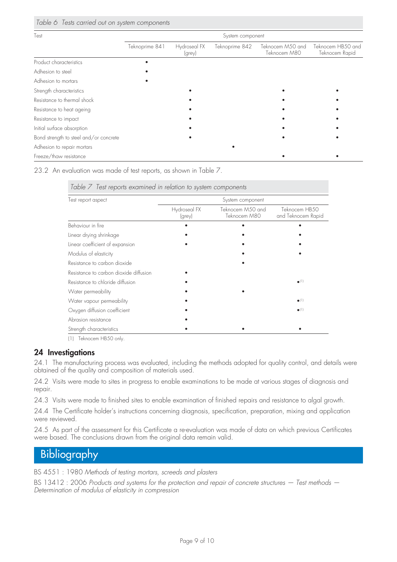| Test                                   | System component |                        |                |                                  |                                     |
|----------------------------------------|------------------|------------------------|----------------|----------------------------------|-------------------------------------|
|                                        | Teknoprime 841   | Hydroseal FX<br>(grey) | Teknoprime 842 | Teknocem M50 and<br>Teknocem M80 | Teknocem HB50 and<br>Teknocem Rapid |
| Product characteristics                |                  |                        |                |                                  |                                     |
| Adhesion to steel                      |                  |                        |                |                                  |                                     |
| Adhesion to mortars                    |                  |                        |                |                                  |                                     |
| Strength characteristics               |                  |                        |                |                                  |                                     |
| Resistance to thermal shock            |                  |                        |                |                                  |                                     |
| Resistance to heat ageing              |                  |                        |                |                                  |                                     |
| Resistance to impact                   |                  |                        |                |                                  |                                     |
| Initial surface absorption             |                  |                        |                |                                  |                                     |
| Bond strength to steel and/or concrete |                  |                        |                |                                  |                                     |
| Adhesion to repair mortars             |                  |                        |                |                                  |                                     |
| Freeze/thaw resistance                 |                  |                        |                |                                  |                                     |

23.2 An evaluation was made of test reports, as shown in Table 7.

*Table 7 Test reports examined in relation to system components*

| Test report aspect                     | System component       |                                  |                                     |  |  |
|----------------------------------------|------------------------|----------------------------------|-------------------------------------|--|--|
|                                        | Hydroseal FX<br>(grey) | Teknocem M50 and<br>Teknocem M80 | Teknocem HB50<br>and Teknocem Rapid |  |  |
| Behaviour in fire                      |                        |                                  |                                     |  |  |
| Linear drying shrinkage                |                        |                                  |                                     |  |  |
| Linear coefficient of expansion        |                        |                                  |                                     |  |  |
| Modulus of elasticity                  |                        |                                  |                                     |  |  |
| Resistance to carbon dioxide           |                        |                                  |                                     |  |  |
| Resistance to carbon dioxide diffusion |                        |                                  |                                     |  |  |
| Resistance to chloride diffusion       |                        |                                  | $\bullet$ (1)                       |  |  |
| Water permeability                     |                        |                                  |                                     |  |  |
| Water vapour permeability              |                        |                                  | $\bullet$ (1)                       |  |  |
| Oxygen diffusion coefficient           |                        |                                  | $\bullet$ (1)                       |  |  |
| Abrasion resistance                    |                        |                                  |                                     |  |  |
| Strength characteristics               |                        |                                  |                                     |  |  |

(1) Teknocem HB50 only.

#### **24 Investigations**

24.1 The manufacturing process was evaluated, including the methods adopted for quality control, and details were obtained of the quality and composition of materials used.

24.2 Visits were made to sites in progress to enable examinations to be made at various stages of diagnosis and repair.

24.3 Visits were made to finished sites to enable examination of finished repairs and resistance to algal growth.

24.4 The Certificate holder's instructions concerning diagnosis, specification, preparation, mixing and application were reviewed.

24.5 As part of the assessment for this Certificate a re-evaluation was made of data on which previous Certificates were based. The conclusions drawn from the original data remain valid.

# Bibliography

BS 4551 : 1980 *Methods of testing mortars, screeds and plasters* 

BS 13412 : 2006 *Products and systems for the protection and repair of concrete structures — Test methods — Determination of modulus of elasticity in compression*